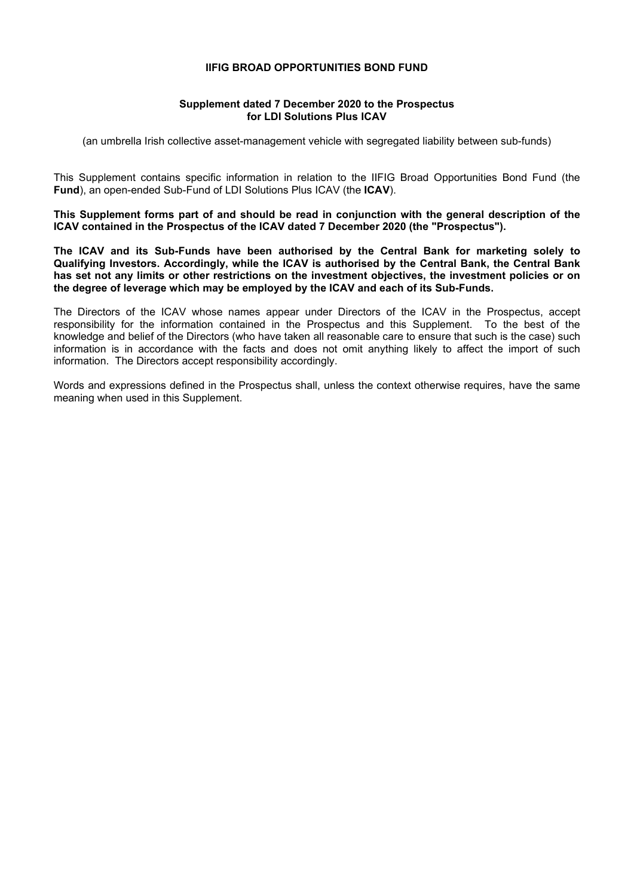#### **IIFIG BROAD OPPORTUNITIES BOND FUND**

### **Supplement dated 7 December 2020 to the Prospectus for LDI Solutions Plus ICAV**

(an umbrella Irish collective asset-management vehicle with segregated liability between sub-funds)

This Supplement contains specific information in relation to the IIFIG Broad Opportunities Bond Fund (the **Fund**), an open-ended Sub-Fund of LDI Solutions Plus ICAV (the **ICAV**).

**This Supplement forms part of and should be read in conjunction with the general description of the ICAV contained in the Prospectus of the ICAV dated 7 December 2020 (the "Prospectus").** 

**The ICAV and its Sub-Funds have been authorised by the Central Bank for marketing solely to Qualifying Investors. Accordingly, while the ICAV is authorised by the Central Bank, the Central Bank has set not any limits or other restrictions on the investment objectives, the investment policies or on the degree of leverage which may be employed by the ICAV and each of its Sub-Funds.** 

The Directors of the ICAV whose names appear under Directors of the ICAV in the Prospectus, accept responsibility for the information contained in the Prospectus and this Supplement. To the best of the knowledge and belief of the Directors (who have taken all reasonable care to ensure that such is the case) such information is in accordance with the facts and does not omit anything likely to affect the import of such information. The Directors accept responsibility accordingly.

 Words and expressions defined in the Prospectus shall, unless the context otherwise requires, have the same meaning when used in this Supplement.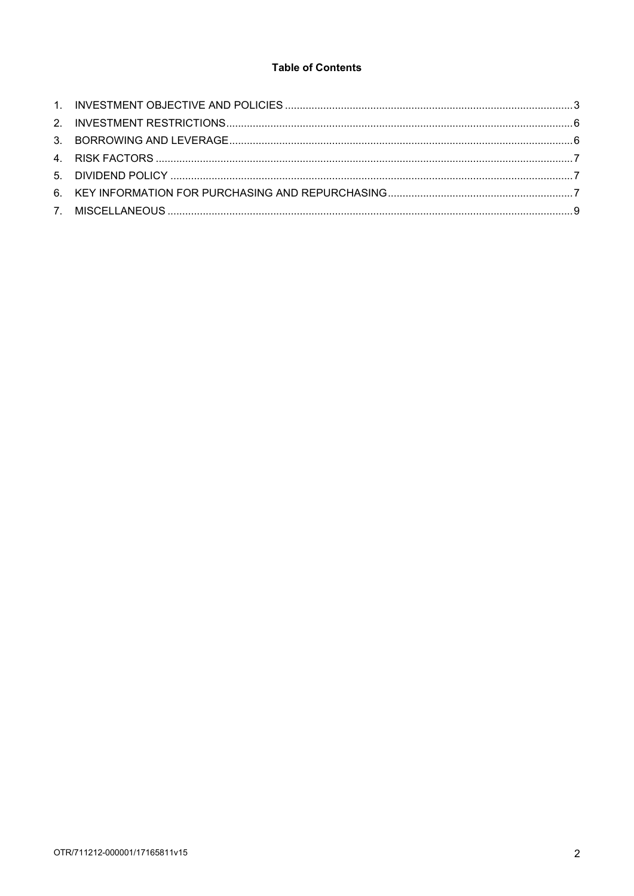# **Table of Contents**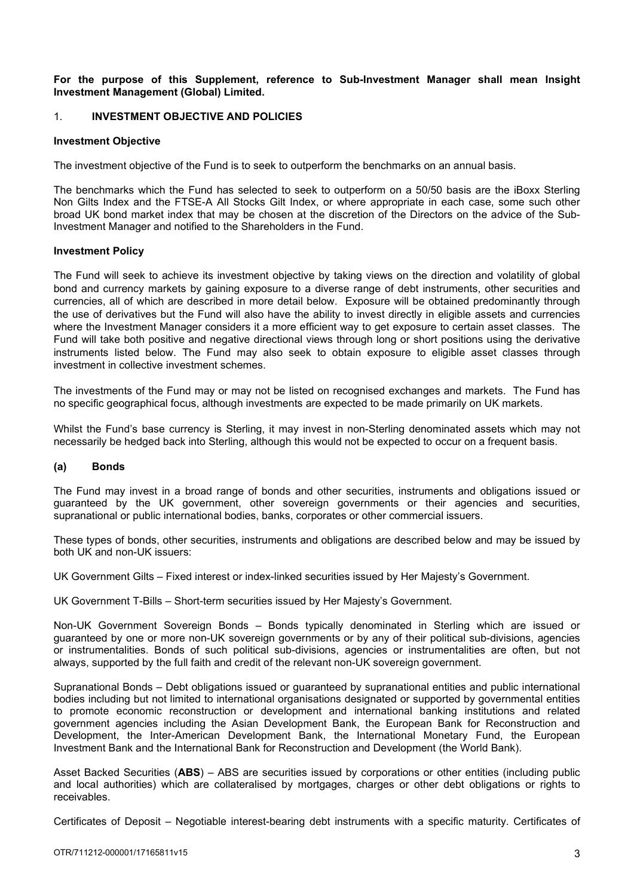#### **For the purpose of this Supplement, reference to Sub-Investment Manager shall mean Insight Investment Management (Global) Limited.**

### 1. **INVESTMENT OBJECTIVE AND POLICIES**

#### **Investment Objective**

The investment objective of the Fund is to seek to outperform the benchmarks on an annual basis.

The benchmarks which the Fund has selected to seek to outperform on a 50/50 basis are the iBoxx Sterling Non Gilts Index and the FTSE-A All Stocks Gilt Index, or where appropriate in each case, some such other broad UK bond market index that may be chosen at the discretion of the Directors on the advice of the Sub-Investment Manager and notified to the Shareholders in the Fund.

#### **Investment Policy**

The Fund will seek to achieve its investment objective by taking views on the direction and volatility of global bond and currency markets by gaining exposure to a diverse range of debt instruments, other securities and currencies, all of which are described in more detail below. Exposure will be obtained predominantly through the use of derivatives but the Fund will also have the ability to invest directly in eligible assets and currencies where the Investment Manager considers it a more efficient way to get exposure to certain asset classes. The Fund will take both positive and negative directional views through long or short positions using the derivative instruments listed below. The Fund may also seek to obtain exposure to eligible asset classes through investment in collective investment schemes.

The investments of the Fund may or may not be listed on recognised exchanges and markets. The Fund has no specific geographical focus, although investments are expected to be made primarily on UK markets.

Whilst the Fund's base currency is Sterling, it may invest in non-Sterling denominated assets which may not necessarily be hedged back into Sterling, although this would not be expected to occur on a frequent basis.

# **(a) Bonds**

The Fund may invest in a broad range of bonds and other securities, instruments and obligations issued or guaranteed by the UK government, other sovereign governments or their agencies and securities, supranational or public international bodies, banks, corporates or other commercial issuers.

These types of bonds, other securities, instruments and obligations are described below and may be issued by both UK and non-UK issuers:

UK Government Gilts – Fixed interest or index-linked securities issued by Her Majesty's Government.

UK Government T-Bills – Short-term securities issued by Her Majesty's Government.

Non-UK Government Sovereign Bonds – Bonds typically denominated in Sterling which are issued or guaranteed by one or more non-UK sovereign governments or by any of their political sub-divisions, agencies or instrumentalities. Bonds of such political sub-divisions, agencies or instrumentalities are often, but not always, supported by the full faith and credit of the relevant non-UK sovereign government.

Supranational Bonds – Debt obligations issued or guaranteed by supranational entities and public international bodies including but not limited to international organisations designated or supported by governmental entities to promote economic reconstruction or development and international banking institutions and related government agencies including the Asian Development Bank, the European Bank for Reconstruction and Development, the Inter-American Development Bank, the International Monetary Fund, the European Investment Bank and the International Bank for Reconstruction and Development (the World Bank).

Asset Backed Securities (**ABS**) – ABS are securities issued by corporations or other entities (including public and local authorities) which are collateralised by mortgages, charges or other debt obligations or rights to receivables.

Certificates of Deposit – Negotiable interest-bearing debt instruments with a specific maturity. Certificates of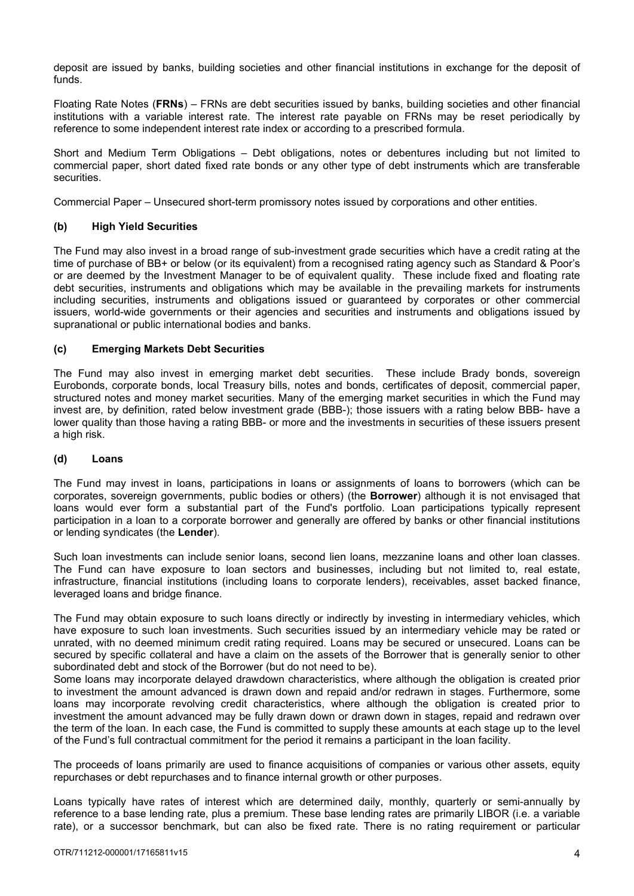deposit are issued by banks, building societies and other financial institutions in exchange for the deposit of funds.

Floating Rate Notes (**FRNs**) – FRNs are debt securities issued by banks, building societies and other financial institutions with a variable interest rate. The interest rate payable on FRNs may be reset periodically by reference to some independent interest rate index or according to a prescribed formula.

Short and Medium Term Obligations – Debt obligations, notes or debentures including but not limited to commercial paper, short dated fixed rate bonds or any other type of debt instruments which are transferable securities.

Commercial Paper – Unsecured short-term promissory notes issued by corporations and other entities.

# **(b) High Yield Securities**

The Fund may also invest in a broad range of sub-investment grade securities which have a credit rating at the time of purchase of BB+ or below (or its equivalent) from a recognised rating agency such as Standard & Poor's or are deemed by the Investment Manager to be of equivalent quality. These include fixed and floating rate debt securities, instruments and obligations which may be available in the prevailing markets for instruments including securities, instruments and obligations issued or guaranteed by corporates or other commercial issuers, world-wide governments or their agencies and securities and instruments and obligations issued by supranational or public international bodies and banks.

# **(c) Emerging Markets Debt Securities**

The Fund may also invest in emerging market debt securities. These include Brady bonds, sovereign Eurobonds, corporate bonds, local Treasury bills, notes and bonds, certificates of deposit, commercial paper, structured notes and money market securities. Many of the emerging market securities in which the Fund may invest are, by definition, rated below investment grade (BBB-); those issuers with a rating below BBB- have a lower quality than those having a rating BBB- or more and the investments in securities of these issuers present a high risk.

# **(d) Loans**

The Fund may invest in loans, participations in loans or assignments of loans to borrowers (which can be corporates, sovereign governments, public bodies or others) (the **Borrower**) although it is not envisaged that loans would ever form a substantial part of the Fund's portfolio. Loan participations typically represent participation in a loan to a corporate borrower and generally are offered by banks or other financial institutions or lending syndicates (the **Lender**).

Such loan investments can include senior loans, second lien loans, mezzanine loans and other loan classes. The Fund can have exposure to loan sectors and businesses, including but not limited to, real estate, infrastructure, financial institutions (including loans to corporate lenders), receivables, asset backed finance, leveraged loans and bridge finance.

The Fund may obtain exposure to such loans directly or indirectly by investing in intermediary vehicles, which have exposure to such loan investments. Such securities issued by an intermediary vehicle may be rated or unrated, with no deemed minimum credit rating required. Loans may be secured or unsecured. Loans can be secured by specific collateral and have a claim on the assets of the Borrower that is generally senior to other subordinated debt and stock of the Borrower (but do not need to be).

Some loans may incorporate delayed drawdown characteristics, where although the obligation is created prior to investment the amount advanced is drawn down and repaid and/or redrawn in stages. Furthermore, some loans may incorporate revolving credit characteristics, where although the obligation is created prior to investment the amount advanced may be fully drawn down or drawn down in stages, repaid and redrawn over the term of the loan. In each case, the Fund is committed to supply these amounts at each stage up to the level of the Fund's full contractual commitment for the period it remains a participant in the loan facility.

The proceeds of loans primarily are used to finance acquisitions of companies or various other assets, equity repurchases or debt repurchases and to finance internal growth or other purposes.

Loans typically have rates of interest which are determined daily, monthly, quarterly or semi-annually by reference to a base lending rate, plus a premium. These base lending rates are primarily LIBOR (i.e. a variable rate), or a successor benchmark, but can also be fixed rate. There is no rating requirement or particular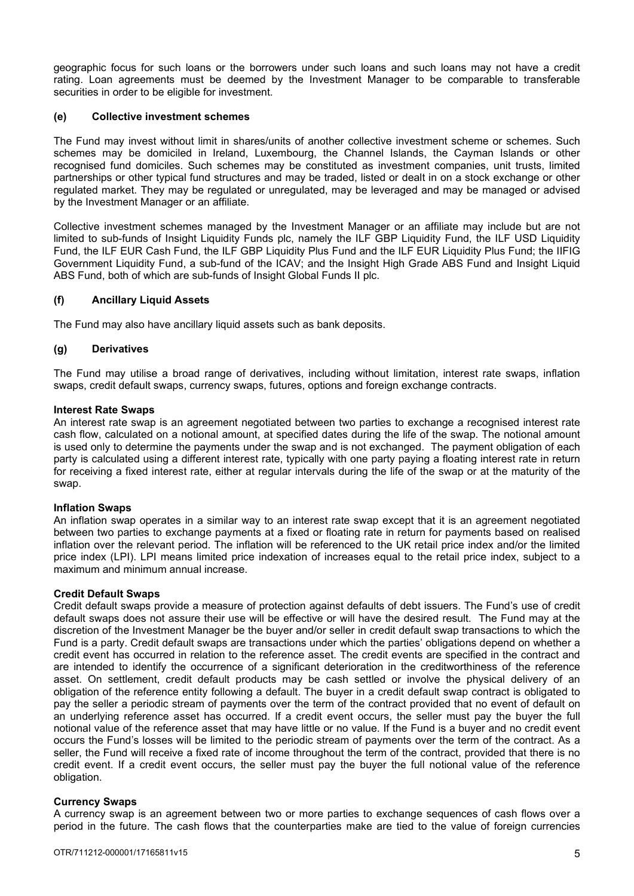geographic focus for such loans or the borrowers under such loans and such loans may not have a credit rating. Loan agreements must be deemed by the Investment Manager to be comparable to transferable securities in order to be eligible for investment.

### **(e) Collective investment schemes**

The Fund may invest without limit in shares/units of another collective investment scheme or schemes. Such schemes may be domiciled in Ireland, Luxembourg, the Channel Islands, the Cayman Islands or other recognised fund domiciles. Such schemes may be constituted as investment companies, unit trusts, limited partnerships or other typical fund structures and may be traded, listed or dealt in on a stock exchange or other regulated market. They may be regulated or unregulated, may be leveraged and may be managed or advised by the Investment Manager or an affiliate.

Collective investment schemes managed by the Investment Manager or an affiliate may include but are not limited to sub-funds of Insight Liquidity Funds plc, namely the ILF GBP Liquidity Fund, the ILF USD Liquidity Fund, the ILF EUR Cash Fund, the ILF GBP Liquidity Plus Fund and the ILF EUR Liquidity Plus Fund; the IIFIG Government Liquidity Fund, a sub-fund of the ICAV; and the Insight High Grade ABS Fund and Insight Liquid ABS Fund, both of which are sub-funds of Insight Global Funds II plc.

### **(f) Ancillary Liquid Assets**

The Fund may also have ancillary liquid assets such as bank deposits.

### **(g) Derivatives**

The Fund may utilise a broad range of derivatives, including without limitation, interest rate swaps, inflation swaps, credit default swaps, currency swaps, futures, options and foreign exchange contracts.

#### **Interest Rate Swaps**

An interest rate swap is an agreement negotiated between two parties to exchange a recognised interest rate cash flow, calculated on a notional amount, at specified dates during the life of the swap. The notional amount is used only to determine the payments under the swap and is not exchanged. The payment obligation of each party is calculated using a different interest rate, typically with one party paying a floating interest rate in return for receiving a fixed interest rate, either at regular intervals during the life of the swap or at the maturity of the swap.

#### **Inflation Swaps**

An inflation swap operates in a similar way to an interest rate swap except that it is an agreement negotiated between two parties to exchange payments at a fixed or floating rate in return for payments based on realised inflation over the relevant period. The inflation will be referenced to the UK retail price index and/or the limited price index (LPI). LPI means limited price indexation of increases equal to the retail price index, subject to a maximum and minimum annual increase.

#### **Credit Default Swaps**

Credit default swaps provide a measure of protection against defaults of debt issuers. The Fund's use of credit default swaps does not assure their use will be effective or will have the desired result. The Fund may at the discretion of the Investment Manager be the buyer and/or seller in credit default swap transactions to which the Fund is a party. Credit default swaps are transactions under which the parties' obligations depend on whether a credit event has occurred in relation to the reference asset. The credit events are specified in the contract and are intended to identify the occurrence of a significant deterioration in the creditworthiness of the reference asset. On settlement, credit default products may be cash settled or involve the physical delivery of an obligation of the reference entity following a default. The buyer in a credit default swap contract is obligated to pay the seller a periodic stream of payments over the term of the contract provided that no event of default on an underlying reference asset has occurred. If a credit event occurs, the seller must pay the buyer the full notional value of the reference asset that may have little or no value. If the Fund is a buyer and no credit event occurs the Fund's losses will be limited to the periodic stream of payments over the term of the contract. As a seller, the Fund will receive a fixed rate of income throughout the term of the contract, provided that there is no credit event. If a credit event occurs, the seller must pay the buyer the full notional value of the reference obligation.

# **Currency Swaps**

A currency swap is an agreement between two or more parties to exchange sequences of cash flows over a period in the future. The cash flows that the counterparties make are tied to the value of foreign currencies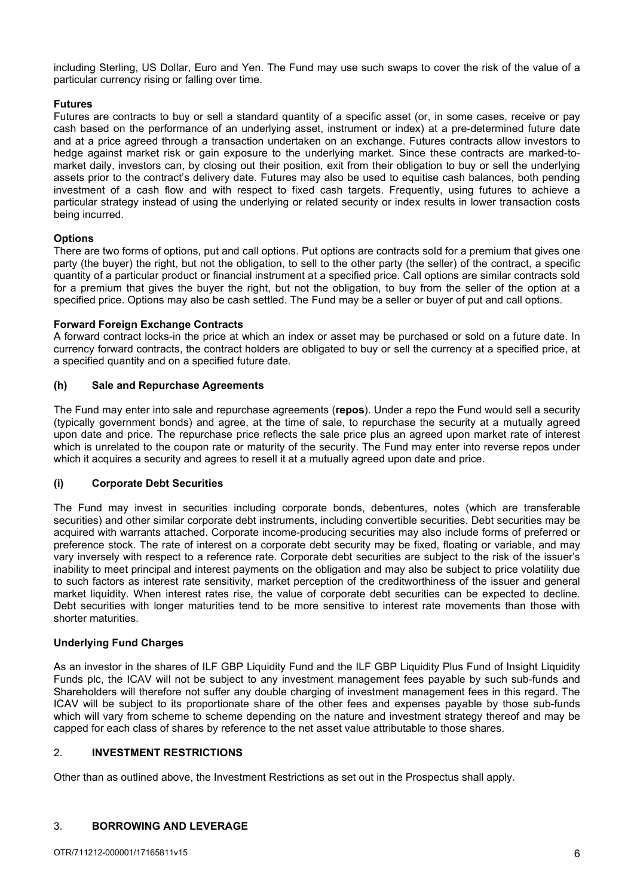including Sterling, US Dollar, Euro and Yen. The Fund may use such swaps to cover the risk of the value of a particular currency rising or falling over time.

# **Futures**

Futures are contracts to buy or sell a standard quantity of a specific asset (or, in some cases, receive or pay cash based on the performance of an underlying asset, instrument or index) at a pre-determined future date and at a price agreed through a transaction undertaken on an exchange. Futures contracts allow investors to hedge against market risk or gain exposure to the underlying market. Since these contracts are marked-tomarket daily, investors can, by closing out their position, exit from their obligation to buy or sell the underlying assets prior to the contract's delivery date. Futures may also be used to equitise cash balances, both pending investment of a cash flow and with respect to fixed cash targets. Frequently, using futures to achieve a particular strategy instead of using the underlying or related security or index results in lower transaction costs being incurred.

# **Options**

There are two forms of options, put and call options. Put options are contracts sold for a premium that gives one party (the buyer) the right, but not the obligation, to sell to the other party (the seller) of the contract, a specific quantity of a particular product or financial instrument at a specified price. Call options are similar contracts sold for a premium that gives the buyer the right, but not the obligation, to buy from the seller of the option at a specified price. Options may also be cash settled. The Fund may be a seller or buyer of put and call options.

# **Forward Foreign Exchange Contracts**

A forward contract locks-in the price at which an index or asset may be purchased or sold on a future date. In currency forward contracts, the contract holders are obligated to buy or sell the currency at a specified price, at a specified quantity and on a specified future date.

# **(h) Sale and Repurchase Agreements**

The Fund may enter into sale and repurchase agreements (**repos**). Under a repo the Fund would sell a security (typically government bonds) and agree, at the time of sale, to repurchase the security at a mutually agreed upon date and price. The repurchase price reflects the sale price plus an agreed upon market rate of interest which is unrelated to the coupon rate or maturity of the security. The Fund may enter into reverse repos under which it acquires a security and agrees to resell it at a mutually agreed upon date and price.

# **(i) Corporate Debt Securities**

The Fund may invest in securities including corporate bonds, debentures, notes (which are transferable securities) and other similar corporate debt instruments, including convertible securities. Debt securities may be acquired with warrants attached. Corporate income-producing securities may also include forms of preferred or preference stock. The rate of interest on a corporate debt security may be fixed, floating or variable, and may vary inversely with respect to a reference rate. Corporate debt securities are subject to the risk of the issuer's inability to meet principal and interest payments on the obligation and may also be subject to price volatility due to such factors as interest rate sensitivity, market perception of the creditworthiness of the issuer and general market liquidity. When interest rates rise, the value of corporate debt securities can be expected to decline. Debt securities with longer maturities tend to be more sensitive to interest rate movements than those with shorter maturities.

# **Underlying Fund Charges**

As an investor in the shares of ILF GBP Liquidity Fund and the ILF GBP Liquidity Plus Fund of Insight Liquidity Funds plc, the ICAV will not be subject to any investment management fees payable by such sub-funds and Shareholders will therefore not suffer any double charging of investment management fees in this regard. The ICAV will be subject to its proportionate share of the other fees and expenses payable by those sub-funds which will vary from scheme to scheme depending on the nature and investment strategy thereof and may be capped for each class of shares by reference to the net asset value attributable to those shares.

### 2. **INVESTMENT RESTRICTIONS**

Other than as outlined above, the Investment Restrictions as set out in the Prospectus shall apply.

# 3. **BORROWING AND LEVERAGE**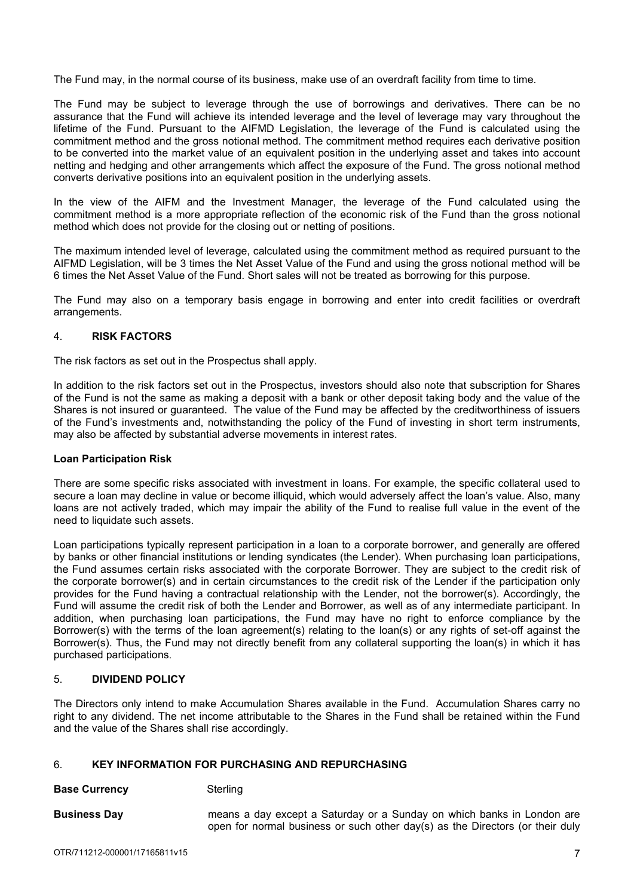The Fund may, in the normal course of its business, make use of an overdraft facility from time to time.

The Fund may be subject to leverage through the use of borrowings and derivatives. There can be no assurance that the Fund will achieve its intended leverage and the level of leverage may vary throughout the lifetime of the Fund. Pursuant to the AIFMD Legislation, the leverage of the Fund is calculated using the commitment method and the gross notional method. The commitment method requires each derivative position to be converted into the market value of an equivalent position in the underlying asset and takes into account netting and hedging and other arrangements which affect the exposure of the Fund. The gross notional method converts derivative positions into an equivalent position in the underlying assets.

In the view of the AIFM and the Investment Manager, the leverage of the Fund calculated using the commitment method is a more appropriate reflection of the economic risk of the Fund than the gross notional method which does not provide for the closing out or netting of positions.

The maximum intended level of leverage, calculated using the commitment method as required pursuant to the AIFMD Legislation, will be 3 times the Net Asset Value of the Fund and using the gross notional method will be 6 times the Net Asset Value of the Fund. Short sales will not be treated as borrowing for this purpose.

The Fund may also on a temporary basis engage in borrowing and enter into credit facilities or overdraft arrangements.

### 4. **RISK FACTORS**

The risk factors as set out in the Prospectus shall apply.

In addition to the risk factors set out in the Prospectus, investors should also note that subscription for Shares of the Fund is not the same as making a deposit with a bank or other deposit taking body and the value of the Shares is not insured or guaranteed. The value of the Fund may be affected by the creditworthiness of issuers of the Fund's investments and, notwithstanding the policy of the Fund of investing in short term instruments, may also be affected by substantial adverse movements in interest rates.

#### **Loan Participation Risk**

There are some specific risks associated with investment in loans. For example, the specific collateral used to secure a loan may decline in value or become illiquid, which would adversely affect the loan's value. Also, many loans are not actively traded, which may impair the ability of the Fund to realise full value in the event of the need to liquidate such assets.

Loan participations typically represent participation in a loan to a corporate borrower, and generally are offered by banks or other financial institutions or lending syndicates (the Lender). When purchasing loan participations, the Fund assumes certain risks associated with the corporate Borrower. They are subject to the credit risk of the corporate borrower(s) and in certain circumstances to the credit risk of the Lender if the participation only provides for the Fund having a contractual relationship with the Lender, not the borrower(s). Accordingly, the Fund will assume the credit risk of both the Lender and Borrower, as well as of any intermediate participant. In addition, when purchasing loan participations, the Fund may have no right to enforce compliance by the Borrower(s) with the terms of the loan agreement(s) relating to the loan(s) or any rights of set-off against the Borrower(s). Thus, the Fund may not directly benefit from any collateral supporting the loan(s) in which it has purchased participations.

# 5. **DIVIDEND POLICY**

The Directors only intend to make Accumulation Shares available in the Fund. Accumulation Shares carry no right to any dividend. The net income attributable to the Shares in the Fund shall be retained within the Fund and the value of the Shares shall rise accordingly.

# 6. **KEY INFORMATION FOR PURCHASING AND REPURCHASING**

**Base Currency Sterling** 

**Business Day** means a day except a Saturday or a Sunday on which banks in London are open for normal business or such other day(s) as the Directors (or their duly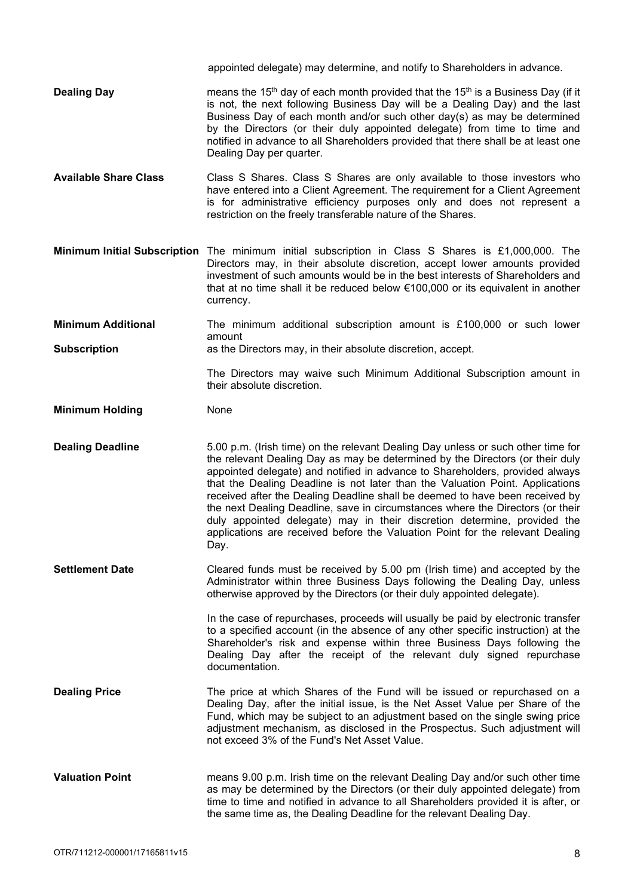- **Dealing Day** means the 15<sup>th</sup> day of each month provided that the 15<sup>th</sup> is a Business Day (if it is not, the next following Business Day will be a Dealing Day) and the last Business Day of each month and/or such other day(s) as may be determined by the Directors (or their duly appointed delegate) from time to time and notified in advance to all Shareholders provided that there shall be at least one Dealing Day per quarter.
- **Available Share Class** Class S Shares. Class S Shares are only available to those investors who have entered into a Client Agreement. The requirement for a Client Agreement is for administrative efficiency purposes only and does not represent a restriction on the freely transferable nature of the Shares.
- **Minimum Initial Subscription** The minimum initial subscription in Class S Shares is £1,000,000. The Directors may, in their absolute discretion, accept lower amounts provided investment of such amounts would be in the best interests of Shareholders and that at no time shall it be reduced below €100,000 or its equivalent in another currency.

**Minimum Additional** The minimum additional subscription amount is £100,000 or such lower amount

**Subscription as the Directors may, in their absolute discretion, accept.** 

The Directors may waive such Minimum Additional Subscription amount in their absolute discretion.

appointed delegate) may determine, and notify to Shareholders in advance.

**Minimum Holding**  None

**Dealing Deadline** 5.00 p.m. (Irish time) on the relevant Dealing Day unless or such other time for the relevant Dealing Day as may be determined by the Directors (or their duly appointed delegate) and notified in advance to Shareholders, provided always that the Dealing Deadline is not later than the Valuation Point. Applications received after the Dealing Deadline shall be deemed to have been received by the next Dealing Deadline, save in circumstances where the Directors (or their duly appointed delegate) may in their discretion determine, provided the applications are received before the Valuation Point for the relevant Dealing Day.

**Settlement Date** Cleared funds must be received by 5.00 pm (Irish time) and accepted by the Administrator within three Business Days following the Dealing Day, unless otherwise approved by the Directors (or their duly appointed delegate).

> In the case of repurchases, proceeds will usually be paid by electronic transfer to a specified account (in the absence of any other specific instruction) at the Shareholder's risk and expense within three Business Days following the Dealing Day after the receipt of the relevant duly signed repurchase documentation.

- **Dealing Price** The price at which Shares of the Fund will be issued or repurchased on a Dealing Day, after the initial issue, is the Net Asset Value per Share of the Fund, which may be subject to an adjustment based on the single swing price adjustment mechanism, as disclosed in the Prospectus. Such adjustment will not exceed 3% of the Fund's Net Asset Value.
- **Valuation Point** means 9.00 p.m. Irish time on the relevant Dealing Day and/or such other time as may be determined by the Directors (or their duly appointed delegate) from time to time and notified in advance to all Shareholders provided it is after, or the same time as, the Dealing Deadline for the relevant Dealing Day.